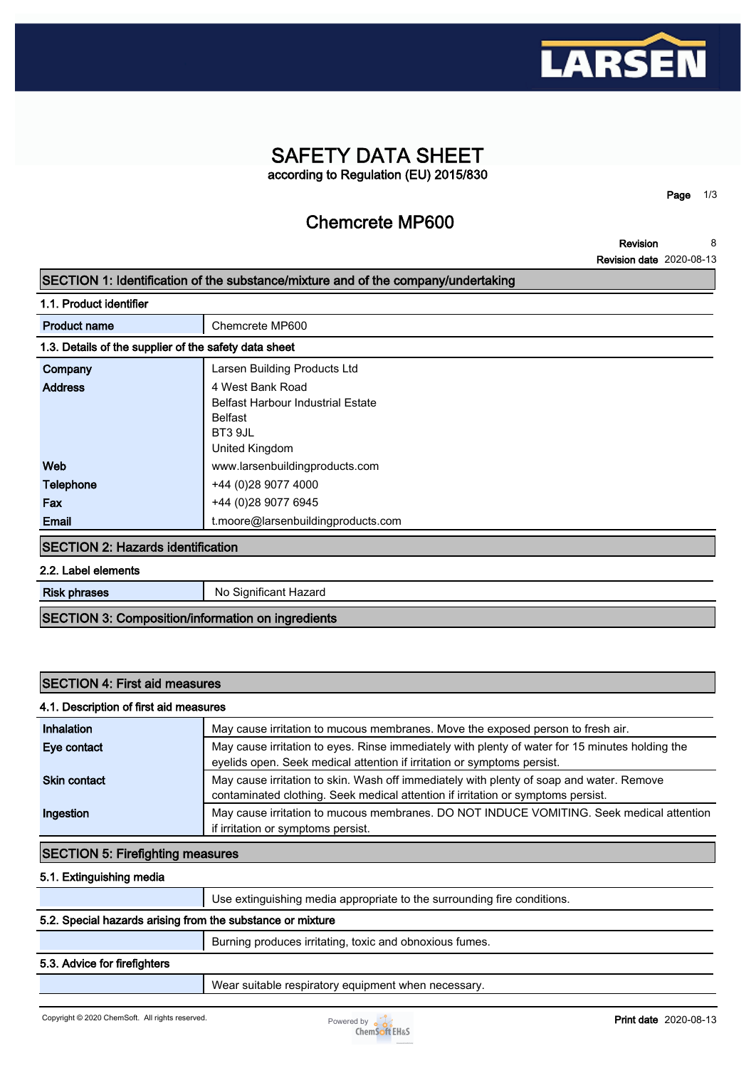

## **SAFETY DATA SHEET according to Regulation (EU) 2015/830**

**Chemcrete MP600**

**Page 1/3**

**Revision Revision date 2020-08-13 8**

#### **SECTION 1: Identification of the substance/mixture and of the company/undertaking**

**1.1. Product identifier Product name Chemcrete MP600 1.3. Details of the supplier of the safety data sheet Company Larsen Building Products Ltd Address 4 West Bank Road Belfast Harbour Industrial Estate Belfast BT3 9JL United Kingdom Web www.larsenbuildingproducts.com Telephone +44 (0)28 9077 4000 Fax +44** (0)28 9077 6945 **Email t.moore@larsenbuildingproducts.com SECTION 2: Hazards identification**

**2.2. Label elements**

**Risk phrases** No Significant Hazard

**SECTION 3: Composition/information on ingredients**

#### **SECTION 4: First aid measures**

### **4.1. Description of first aid measures**

| Inhalation          | May cause irritation to mucous membranes. Move the exposed person to fresh air.                                                                                              |
|---------------------|------------------------------------------------------------------------------------------------------------------------------------------------------------------------------|
| Eye contact         | May cause irritation to eyes. Rinse immediately with plenty of water for 15 minutes holding the<br>eyelids open. Seek medical attention if irritation or symptoms persist.   |
| <b>Skin contact</b> | May cause irritation to skin. Wash off immediately with plenty of soap and water. Remove<br>contaminated clothing. Seek medical attention if irritation or symptoms persist. |
| Ingestion           | May cause irritation to mucous membranes. DO NOT INDUCE VOMITING. Seek medical attention<br>if irritation or symptoms persist.                                               |

#### **SECTION 5: Firefighting measures**

**5.1. Extinguishing media**

**Use extinguishing media appropriate to the surrounding fire conditions.**

#### **5.2. Special hazards arising from the substance or mixture**

**Burning produces irritating, toxic and obnoxious fumes.**

#### **5.3. Advice for firefighters**

**Wear suitable respiratory equipment when necessary.**

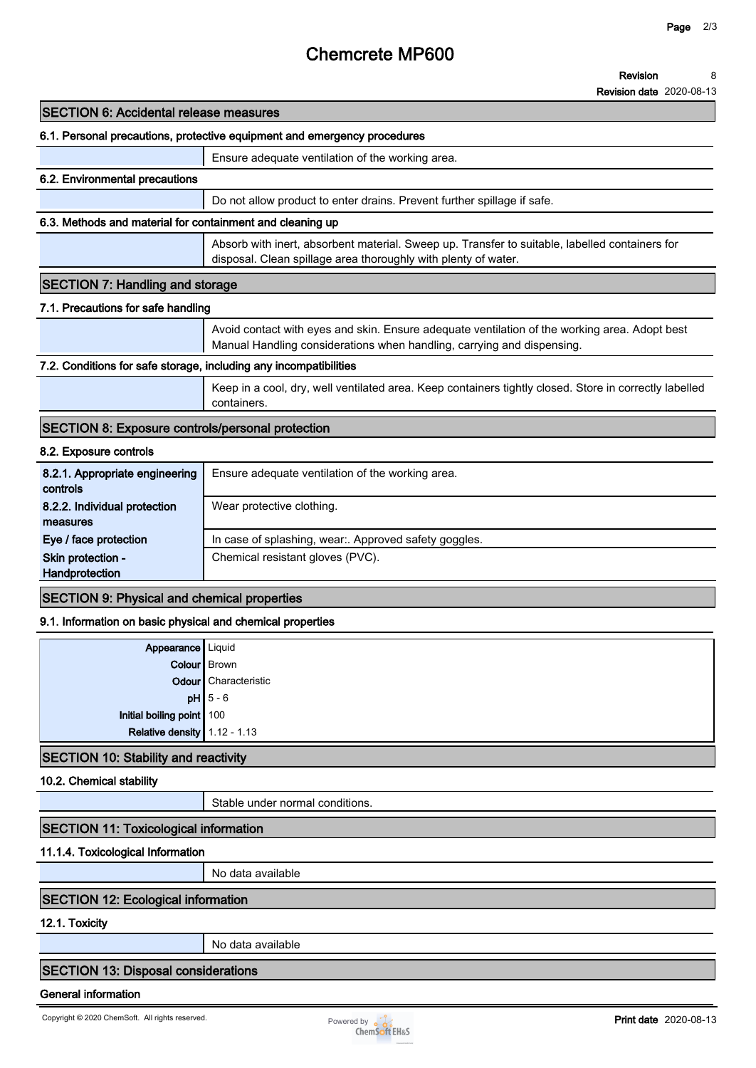# **Chemcrete MP600**

**Revision 8**

**Revision date 2020-08-13**

| <b>SECTION 6: Accidental release measures</b>                            |                                                                                                                                                                         |  |
|--------------------------------------------------------------------------|-------------------------------------------------------------------------------------------------------------------------------------------------------------------------|--|
| 6.1. Personal precautions, protective equipment and emergency procedures |                                                                                                                                                                         |  |
|                                                                          | Ensure adequate ventilation of the working area.                                                                                                                        |  |
| 6.2. Environmental precautions                                           |                                                                                                                                                                         |  |
|                                                                          | Do not allow product to enter drains. Prevent further spillage if safe.                                                                                                 |  |
| 6.3. Methods and material for containment and cleaning up                |                                                                                                                                                                         |  |
|                                                                          | Absorb with inert, absorbent material. Sweep up. Transfer to suitable, labelled containers for<br>disposal. Clean spillage area thoroughly with plenty of water.        |  |
| <b>SECTION 7: Handling and storage</b>                                   |                                                                                                                                                                         |  |
| 7.1. Precautions for safe handling                                       |                                                                                                                                                                         |  |
|                                                                          | Avoid contact with eyes and skin. Ensure adequate ventilation of the working area. Adopt best<br>Manual Handling considerations when handling, carrying and dispensing. |  |
| 7.2. Conditions for safe storage, including any incompatibilities        |                                                                                                                                                                         |  |
|                                                                          | Keep in a cool, dry, well ventilated area. Keep containers tightly closed. Store in correctly labelled<br>containers.                                                   |  |
| <b>SECTION 8: Exposure controls/personal protection</b>                  |                                                                                                                                                                         |  |
| 8.2. Exposure controls                                                   |                                                                                                                                                                         |  |
| 8.2.1. Appropriate engineering<br>controls                               | Ensure adequate ventilation of the working area.                                                                                                                        |  |
| 8.2.2. Individual protection<br>measures                                 | Wear protective clothing.                                                                                                                                               |  |
| Eye / face protection                                                    | In case of splashing, wear:. Approved safety goggles.                                                                                                                   |  |
| Skin protection -<br>Handprotection                                      | Chemical resistant gloves (PVC).                                                                                                                                        |  |
| <b>SECTION 9: Physical and chemical properties</b>                       |                                                                                                                                                                         |  |
| 9.1. Information on basic physical and chemical properties               |                                                                                                                                                                         |  |
| Appearance                                                               | Liquid                                                                                                                                                                  |  |
| Colour   Brown                                                           |                                                                                                                                                                         |  |

| Relative density $1.12 - 1.13$ |                        |
|--------------------------------|------------------------|
| Initial boiling point 100      |                        |
|                                | $pH$ 5 - 6             |
|                                | Odour Characteristic   |
|                                | <b>COIOUT   DIOWII</b> |

## **SECTION 10: Stability and reactivity**

#### **10.2. Chemical stability**

**Stable under normal conditions.**

#### **SECTION 11: Toxicological information**

#### **11.1.4. Toxicological Information**

**No data available**

## **SECTION 12: Ecological information**

**12.1. Toxicity**

**No data available**

## **SECTION 13: Disposal considerations**

### **General information**